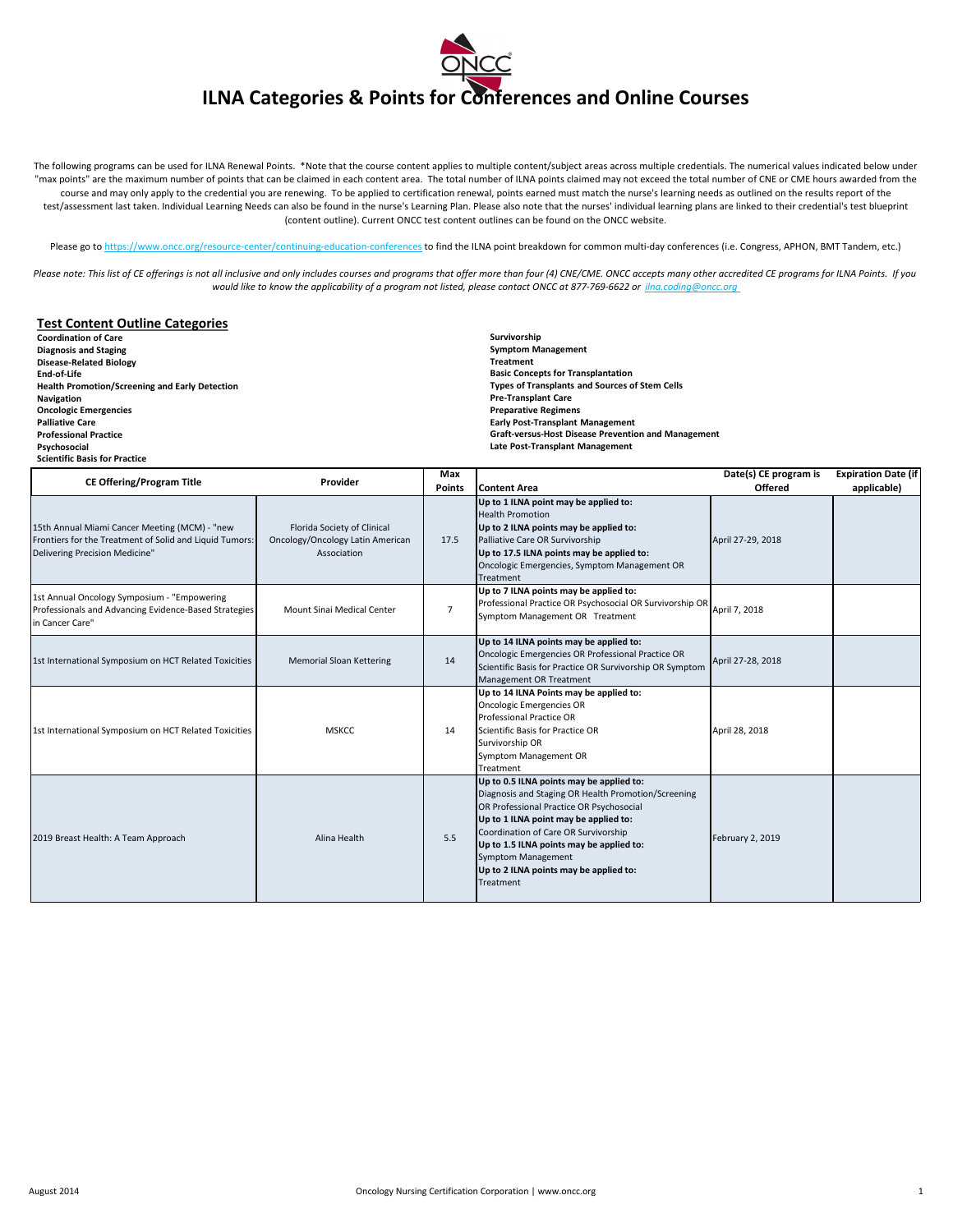| <b>CE Offering/Program Title</b>                                                                                                           | <b>Provider</b>                                                                | <b>Max</b><br><b>Points</b> | <b>Content Area</b>                                                                                                                                                                                                                                                                                                                                   | Date(s) CE program is<br><b>Offered</b> | <b>Expiration Date (if</b><br>applicable) |
|--------------------------------------------------------------------------------------------------------------------------------------------|--------------------------------------------------------------------------------|-----------------------------|-------------------------------------------------------------------------------------------------------------------------------------------------------------------------------------------------------------------------------------------------------------------------------------------------------------------------------------------------------|-----------------------------------------|-------------------------------------------|
| 15th Annual Miami Cancer Meeting (MCM) - "new<br>Frontiers for the Treatment of Solid and Liquid Tumors:<br>Delivering Precision Medicine" | Florida Society of Clinical<br>Oncology/Oncology Latin American<br>Association | 17.5                        | Up to 1 ILNA point may be applied to:<br><b>Health Promotion</b><br>Up to 2 ILNA points may be applied to:<br>Palliative Care OR Survivorship<br>Up to 17.5 ILNA points may be applied to:<br>Oncologic Emergencies, Symptom Management OR<br>Treatment                                                                                               | April 27-29, 2018                       |                                           |
| 1st Annual Oncology Symposium - "Empowering<br>Professionals and Advancing Evidence-Based Strategies<br>in Cancer Care"                    | <b>Mount Sinai Medical Center</b>                                              | $\overline{7}$              | Up to 7 ILNA points may be applied to:<br>Professional Practice OR Psychosocial OR Survivorship OR<br>Symptom Management OR Treatment                                                                                                                                                                                                                 | April 7, 2018                           |                                           |
| 1st International Symposium on HCT Related Toxicities                                                                                      | <b>Memorial Sloan Kettering</b>                                                | 14                          | Up to 14 ILNA points may be applied to:<br>Oncologic Emergencies OR Professional Practice OR<br>Scientific Basis for Practice OR Survivorship OR Symptom<br>Management OR Treatment                                                                                                                                                                   | April 27-28, 2018                       |                                           |
| 1st International Symposium on HCT Related Toxicities                                                                                      | <b>MSKCC</b>                                                                   | 14                          | Up to 14 ILNA Points may be applied to:<br><b>Oncologic Emergencies OR</b><br><b>Professional Practice OR</b><br>Scientific Basis for Practice OR<br>Survivorship OR<br>Symptom Management OR<br>Treatment                                                                                                                                            | April 28, 2018                          |                                           |
| 2019 Breast Health: A Team Approach                                                                                                        | Alina Health                                                                   | 5.5                         | Up to 0.5 ILNA points may be applied to:<br>Diagnosis and Staging OR Health Promotion/Screening<br>OR Professional Practice OR Psychosocial<br>Up to 1 ILNA point may be applied to:<br>Coordination of Care OR Survivorship<br>Up to 1.5 ILNA points may be applied to:<br>Symptom Management<br>Up to 2 ILNA points may be applied to:<br>Treatment | February 2, 2019                        |                                           |

The following programs can be used for ILNA Renewal Points. \*Note that the course content applies to multiple content/subject areas across multiple credentials. The numerical values indicated below under "max points" are the maximum number of points that can be claimed in each content area.  The total number of ILNA points claimed may not exceed the total number of CNE or CME hours awarded from the course and may only apply to the credential you are renewing.  To be applied to certification renewal, points earned must match the nurse's learning needs as outlined on the results report of the test/assessment last taken. Individual Learning Needs can also be found in the nurse's Learning Plan. Please also note that the nurses' individual learning plans are linked to their credential's test blueprint (content outline). Current ONCC test content outlines can be found on the ONCC website.

Please go to https://www.oncc.org/resource-center/continuing-education-conferences to find the ILNA point breakdown for common multi-day conferences (i.e. Congress, APHON, BMT Tandem, etc.)

*Please note: This list of CE offerings is not all inclusive and only includes courses and programs that offer more than four (4) CNE/CME. ONCC accepts many other accredited CE programs for ILNA Points. If you would like to know the applicability of a program not listed, please contact ONCC at 877-769-6622 or ilna.coding@oncc.org* 



## **Test Content Outline Categories**

**Coordination of Care Diagnosis and Staging Disease-Related Biology End-of-Life Health Promotion/Screening and Early Detection Navigation Oncologic Emergencies Palliative Care Professional Practice Psychosocial Scientific Basis for Practice**

**Survivorship Symptom Management Treatment Basic Concepts for Transplantation Types of Transplants and Sources of Stem Cells Pre-Transplant Care Preparative Regimens Early Post-Transplant Management Graft-versus-Host Disease Prevention and Management Late Post-Transplant Management**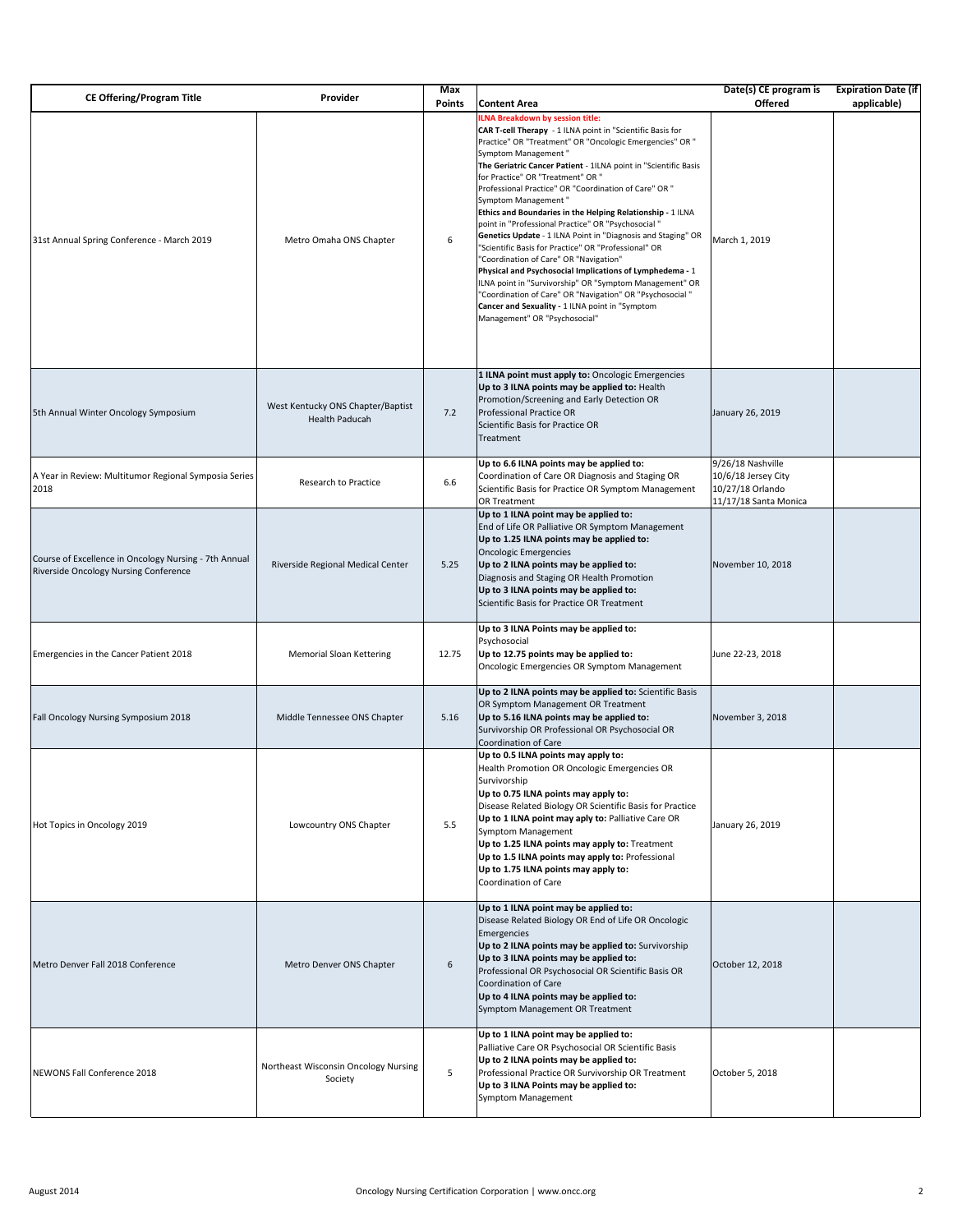| <b>CE Offering/Program Title</b>                                                                      | <b>Provider</b>                                            | Max<br><b>Points</b> | <b>Content Area</b>                                                                                                                                                                                                                                                                                                                                                                                                                                                                                                                                                                                                                                                                                                                                                                                                                                                                                                                                    | Date(s) CE program is<br><b>Offered</b>                                               | <b>Expiration Date (if</b><br>applicable) |
|-------------------------------------------------------------------------------------------------------|------------------------------------------------------------|----------------------|--------------------------------------------------------------------------------------------------------------------------------------------------------------------------------------------------------------------------------------------------------------------------------------------------------------------------------------------------------------------------------------------------------------------------------------------------------------------------------------------------------------------------------------------------------------------------------------------------------------------------------------------------------------------------------------------------------------------------------------------------------------------------------------------------------------------------------------------------------------------------------------------------------------------------------------------------------|---------------------------------------------------------------------------------------|-------------------------------------------|
| 31st Annual Spring Conference - March 2019                                                            | Metro Omaha ONS Chapter                                    | 6                    | <b>ILNA Breakdown by session title:</b><br><b>CAR T-cell Therapy</b> - 1 ILNA point in "Scientific Basis for<br>Practice" OR "Treatment" OR "Oncologic Emergencies" OR "<br>Symptom Management"<br>The Geriatric Cancer Patient - 1ILNA point in "Scientific Basis<br>for Practice" OR "Treatment" OR "<br>Professional Practice" OR "Coordination of Care" OR "<br>Symptom Management"<br>Ethics and Boundaries in the Helping Relationship - 1 ILNA<br>point in "Professional Practice" OR "Psychosocial "<br>Genetics Update - 1 ILNA Point in "Diagnosis and Staging" OR<br>'Scientific Basis for Practice" OR "Professional" OR<br>'Coordination of Care" OR "Navigation"<br>Physical and Psychosocial Implications of Lymphedema - 1<br>ILNA point in "Survivorship" OR "Symptom Management" OR<br>"Coordination of Care" OR "Navigation" OR "Psychosocial "<br>Cancer and Sexuality - 1 ILNA point in "Symptom<br>Management" OR "Psychosocial" | March 1, 2019                                                                         |                                           |
| 5th Annual Winter Oncology Symposium                                                                  | West Kentucky ONS Chapter/Baptist<br><b>Health Paducah</b> | 7.2                  | 1 ILNA point must apply to: Oncologic Emergencies<br>Up to 3 ILNA points may be applied to: Health<br>Promotion/Screening and Early Detection OR<br><b>Professional Practice OR</b><br>Scientific Basis for Practice OR<br>Treatment                                                                                                                                                                                                                                                                                                                                                                                                                                                                                                                                                                                                                                                                                                                   | January 26, 2019                                                                      |                                           |
| A Year in Review: Multitumor Regional Symposia Series<br>2018                                         | Research to Practice                                       | 6.6                  | Up to 6.6 ILNA points may be applied to:<br>Coordination of Care OR Diagnosis and Staging OR<br>Scientific Basis for Practice OR Symptom Management<br><b>OR Treatment</b>                                                                                                                                                                                                                                                                                                                                                                                                                                                                                                                                                                                                                                                                                                                                                                             | 9/26/18 Nashville<br>10/6/18 Jersey City<br>10/27/18 Orlando<br>11/17/18 Santa Monica |                                           |
| Course of Excellence in Oncology Nursing - 7th Annual<br><b>Riverside Oncology Nursing Conference</b> | Riverside Regional Medical Center                          | 5.25                 | Up to 1 ILNA point may be applied to:<br>End of Life OR Palliative OR Symptom Management<br>Up to 1.25 ILNA points may be applied to:<br><b>Oncologic Emergencies</b><br>Up to 2 ILNA points may be applied to:<br>Diagnosis and Staging OR Health Promotion<br>Up to 3 ILNA points may be applied to:<br>Scientific Basis for Practice OR Treatment                                                                                                                                                                                                                                                                                                                                                                                                                                                                                                                                                                                                   | November 10, 2018                                                                     |                                           |
| Emergencies in the Cancer Patient 2018                                                                | <b>Memorial Sloan Kettering</b>                            | 12.75                | Up to 3 ILNA Points may be applied to:<br>Psychosocial<br>Up to 12.75 points may be applied to:<br>Oncologic Emergencies OR Symptom Management                                                                                                                                                                                                                                                                                                                                                                                                                                                                                                                                                                                                                                                                                                                                                                                                         | June 22-23, 2018                                                                      |                                           |
| Fall Oncology Nursing Symposium 2018                                                                  | Middle Tennessee ONS Chapter                               | 5.16                 | Up to 2 ILNA points may be applied to: Scientific Basis<br>OR Symptom Management OR Treatment<br>Up to 5.16 ILNA points may be applied to:<br>Survivorship OR Professional OR Psychosocial OR<br>Coordination of Care                                                                                                                                                                                                                                                                                                                                                                                                                                                                                                                                                                                                                                                                                                                                  | November 3, 2018                                                                      |                                           |
| Hot Topics in Oncology 2019                                                                           | Lowcountry ONS Chapter                                     | 5.5                  | Up to 0.5 ILNA points may apply to:<br>Health Promotion OR Oncologic Emergencies OR<br>Survivorship<br>Up to 0.75 ILNA points may apply to:<br>Disease Related Biology OR Scientific Basis for Practice<br>Up to 1 ILNA point may aply to: Palliative Care OR<br><b>Symptom Management</b><br>Up to 1.25 ILNA points may apply to: Treatment<br>Up to 1.5 ILNA points may apply to: Professional<br>Up to 1.75 ILNA points may apply to:<br>Coordination of Care                                                                                                                                                                                                                                                                                                                                                                                                                                                                                       | January 26, 2019                                                                      |                                           |
| Metro Denver Fall 2018 Conference                                                                     | Metro Denver ONS Chapter                                   | 6                    | Up to 1 ILNA point may be applied to:<br>Disease Related Biology OR End of Life OR Oncologic<br>Emergencies<br>Up to 2 ILNA points may be applied to: Survivorship<br>Up to 3 ILNA points may be applied to:<br>Professional OR Psychosocial OR Scientific Basis OR<br>Coordination of Care<br>Up to 4 ILNA points may be applied to:<br>Symptom Management OR Treatment                                                                                                                                                                                                                                                                                                                                                                                                                                                                                                                                                                               | October 12, 2018                                                                      |                                           |
| NEWONS Fall Conference 2018                                                                           | Northeast Wisconsin Oncology Nursing<br>Society            | 5                    | Up to 1 ILNA point may be applied to:<br>Palliative Care OR Psychosocial OR Scientific Basis<br>Up to 2 ILNA points may be applied to:<br>Professional Practice OR Survivorship OR Treatment<br>Up to 3 ILNA Points may be applied to:<br>Symptom Management                                                                                                                                                                                                                                                                                                                                                                                                                                                                                                                                                                                                                                                                                           | October 5, 2018                                                                       |                                           |